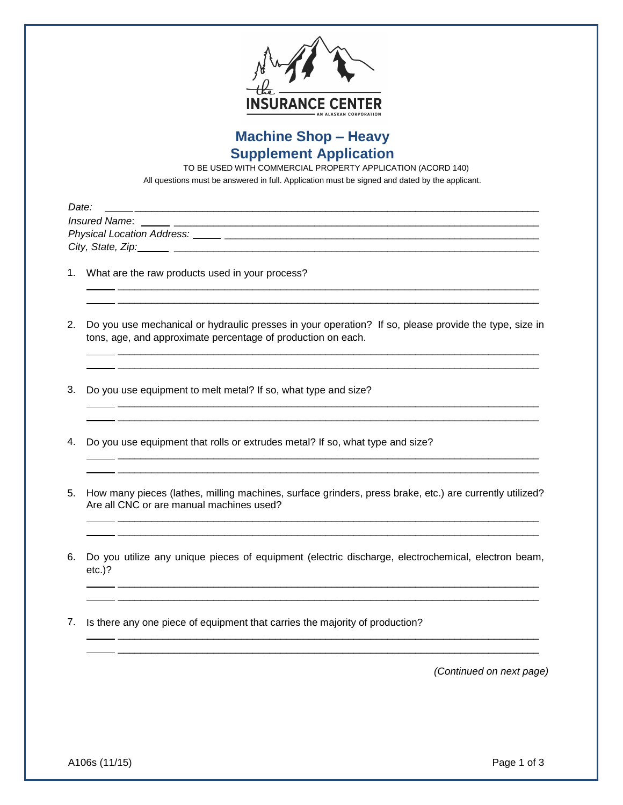

## **Machine Shop – Heavy Supplement Application**

TO BE USED WITH COMMERCIAL PROPERTY APPLICATION (ACORD 140)

All questions must be answered in full. Application must be signed and dated by the applicant.

| Date:                      |
|----------------------------|
| Insured Name:              |
| Physical Location Address: |
| City, State, Zip:          |

- 1. What are the raw products used in your process?
- 2. Do you use mechanical or hydraulic presses in your operation? If so, please provide the type, size in tons, age, and approximate percentage of production on each.

 \_\_\_\_\_\_\_\_\_\_\_\_\_\_\_\_\_\_\_\_\_\_\_\_\_\_\_\_\_\_\_\_\_\_\_\_\_\_\_\_\_\_\_\_\_\_\_\_\_\_\_\_\_\_\_\_\_\_\_\_\_\_\_\_\_\_\_\_\_\_\_\_\_\_\_ \_\_\_\_\_\_\_\_\_\_\_\_\_\_\_\_\_\_\_\_\_\_\_\_\_\_\_\_\_\_\_\_\_\_\_\_\_\_\_\_\_\_\_\_\_\_\_\_\_\_\_\_\_\_\_\_\_\_\_\_\_\_\_\_\_\_\_\_\_\_\_\_\_\_\_

 \_\_\_\_\_\_\_\_\_\_\_\_\_\_\_\_\_\_\_\_\_\_\_\_\_\_\_\_\_\_\_\_\_\_\_\_\_\_\_\_\_\_\_\_\_\_\_\_\_\_\_\_\_\_\_\_\_\_\_\_\_\_\_\_\_\_\_\_\_\_\_\_\_\_\_ \_\_\_\_\_\_\_\_\_\_\_\_\_\_\_\_\_\_\_\_\_\_\_\_\_\_\_\_\_\_\_\_\_\_\_\_\_\_\_\_\_\_\_\_\_\_\_\_\_\_\_\_\_\_\_\_\_\_\_\_\_\_\_\_\_\_\_\_\_\_\_\_\_\_\_

 \_\_\_\_\_\_\_\_\_\_\_\_\_\_\_\_\_\_\_\_\_\_\_\_\_\_\_\_\_\_\_\_\_\_\_\_\_\_\_\_\_\_\_\_\_\_\_\_\_\_\_\_\_\_\_\_\_\_\_\_\_\_\_\_\_\_\_\_\_\_\_\_\_\_\_ \_\_\_\_\_\_\_\_\_\_\_\_\_\_\_\_\_\_\_\_\_\_\_\_\_\_\_\_\_\_\_\_\_\_\_\_\_\_\_\_\_\_\_\_\_\_\_\_\_\_\_\_\_\_\_\_\_\_\_\_\_\_\_\_\_\_\_\_\_\_\_\_\_\_\_

 \_\_\_\_\_\_\_\_\_\_\_\_\_\_\_\_\_\_\_\_\_\_\_\_\_\_\_\_\_\_\_\_\_\_\_\_\_\_\_\_\_\_\_\_\_\_\_\_\_\_\_\_\_\_\_\_\_\_\_\_\_\_\_\_\_\_\_\_\_\_\_\_\_\_\_ \_\_\_\_\_\_\_\_\_\_\_\_\_\_\_\_\_\_\_\_\_\_\_\_\_\_\_\_\_\_\_\_\_\_\_\_\_\_\_\_\_\_\_\_\_\_\_\_\_\_\_\_\_\_\_\_\_\_\_\_\_\_\_\_\_\_\_\_\_\_\_\_\_\_\_

- 3. Do you use equipment to melt metal? If so, what type and size?
- 4. Do you use equipment that rolls or extrudes metal? If so, what type and size?
- 5. How many pieces (lathes, milling machines, surface grinders, press brake, etc.) are currently utilized? Are all CNC or are manual machines used?

 \_\_\_\_\_\_\_\_\_\_\_\_\_\_\_\_\_\_\_\_\_\_\_\_\_\_\_\_\_\_\_\_\_\_\_\_\_\_\_\_\_\_\_\_\_\_\_\_\_\_\_\_\_\_\_\_\_\_\_\_\_\_\_\_\_\_\_\_\_\_\_\_\_\_\_ \_\_\_\_\_\_\_\_\_\_\_\_\_\_\_\_\_\_\_\_\_\_\_\_\_\_\_\_\_\_\_\_\_\_\_\_\_\_\_\_\_\_\_\_\_\_\_\_\_\_\_\_\_\_\_\_\_\_\_\_\_\_\_\_\_\_\_\_\_\_\_\_\_\_\_

6. Do you utilize any unique pieces of equipment (electric discharge, electrochemical, electron beam, etc.)?

 \_\_\_\_\_\_\_\_\_\_\_\_\_\_\_\_\_\_\_\_\_\_\_\_\_\_\_\_\_\_\_\_\_\_\_\_\_\_\_\_\_\_\_\_\_\_\_\_\_\_\_\_\_\_\_\_\_\_\_\_\_\_\_\_\_\_\_\_\_\_\_\_\_\_\_ \_\_\_\_\_\_\_\_\_\_\_\_\_\_\_\_\_\_\_\_\_\_\_\_\_\_\_\_\_\_\_\_\_\_\_\_\_\_\_\_\_\_\_\_\_\_\_\_\_\_\_\_\_\_\_\_\_\_\_\_\_\_\_\_\_\_\_\_\_\_\_\_\_\_\_

 \_\_\_\_\_\_\_\_\_\_\_\_\_\_\_\_\_\_\_\_\_\_\_\_\_\_\_\_\_\_\_\_\_\_\_\_\_\_\_\_\_\_\_\_\_\_\_\_\_\_\_\_\_\_\_\_\_\_\_\_\_\_\_\_\_\_\_\_\_\_\_\_\_\_\_ \_\_\_\_\_\_\_\_\_\_\_\_\_\_\_\_\_\_\_\_\_\_\_\_\_\_\_\_\_\_\_\_\_\_\_\_\_\_\_\_\_\_\_\_\_\_\_\_\_\_\_\_\_\_\_\_\_\_\_\_\_\_\_\_\_\_\_\_\_\_\_\_\_\_\_

7. Is there any one piece of equipment that carries the majority of production?

*(Continued on next page)*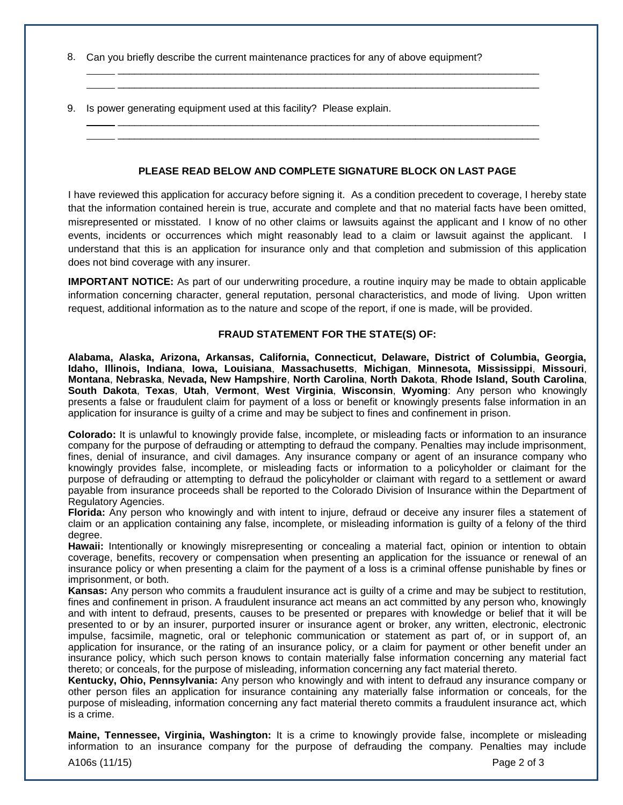- 8. Can you briefly describe the current maintenance practices for any of above equipment?
- 9. Is power generating equipment used at this facility? Please explain.

## **PLEASE READ BELOW AND COMPLETE SIGNATURE BLOCK ON LAST PAGE**

 \_\_\_\_\_\_\_\_\_\_\_\_\_\_\_\_\_\_\_\_\_\_\_\_\_\_\_\_\_\_\_\_\_\_\_\_\_\_\_\_\_\_\_\_\_\_\_\_\_\_\_\_\_\_\_\_\_\_\_\_\_\_\_\_\_\_\_\_\_\_\_\_\_\_\_ \_\_\_\_\_\_\_\_\_\_\_\_\_\_\_\_\_\_\_\_\_\_\_\_\_\_\_\_\_\_\_\_\_\_\_\_\_\_\_\_\_\_\_\_\_\_\_\_\_\_\_\_\_\_\_\_\_\_\_\_\_\_\_\_\_\_\_\_\_\_\_\_\_\_\_

 \_\_\_\_\_\_\_\_\_\_\_\_\_\_\_\_\_\_\_\_\_\_\_\_\_\_\_\_\_\_\_\_\_\_\_\_\_\_\_\_\_\_\_\_\_\_\_\_\_\_\_\_\_\_\_\_\_\_\_\_\_\_\_\_\_\_\_\_\_\_\_\_\_\_\_ \_\_\_\_\_\_\_\_\_\_\_\_\_\_\_\_\_\_\_\_\_\_\_\_\_\_\_\_\_\_\_\_\_\_\_\_\_\_\_\_\_\_\_\_\_\_\_\_\_\_\_\_\_\_\_\_\_\_\_\_\_\_\_\_\_\_\_\_\_\_\_\_\_\_\_

I have reviewed this application for accuracy before signing it. As a condition precedent to coverage, I hereby state that the information contained herein is true, accurate and complete and that no material facts have been omitted, misrepresented or misstated. I know of no other claims or lawsuits against the applicant and I know of no other events, incidents or occurrences which might reasonably lead to a claim or lawsuit against the applicant. I understand that this is an application for insurance only and that completion and submission of this application does not bind coverage with any insurer.

**IMPORTANT NOTICE:** As part of our underwriting procedure, a routine inquiry may be made to obtain applicable information concerning character, general reputation, personal characteristics, and mode of living. Upon written request, additional information as to the nature and scope of the report, if one is made, will be provided.

## **FRAUD STATEMENT FOR THE STATE(S) OF:**

**Alabama, Alaska, Arizona, Arkansas, California, Connecticut, Delaware, District of Columbia, Georgia, Idaho, Illinois, Indiana**, **Iowa, Louisiana**, **Massachusetts**, **Michigan**, **Minnesota, Mississippi**, **Missouri**, **Montana**, **Nebraska**, **Nevada, New Hampshire**, **North Carolina**, **North Dakota**, **Rhode Island, South Carolina**, **South Dakota**, **Texas**, **Utah**, **Vermont**, **West Virginia**, **Wisconsin**, **Wyoming**: Any person who knowingly presents a false or fraudulent claim for payment of a loss or benefit or knowingly presents false information in an application for insurance is guilty of a crime and may be subject to fines and confinement in prison.

**Colorado:** It is unlawful to knowingly provide false, incomplete, or misleading facts or information to an insurance company for the purpose of defrauding or attempting to defraud the company. Penalties may include imprisonment, fines, denial of insurance, and civil damages. Any insurance company or agent of an insurance company who knowingly provides false, incomplete, or misleading facts or information to a policyholder or claimant for the purpose of defrauding or attempting to defraud the policyholder or claimant with regard to a settlement or award payable from insurance proceeds shall be reported to the Colorado Division of Insurance within the Department of Regulatory Agencies.

**Florida:** Any person who knowingly and with intent to injure, defraud or deceive any insurer files a statement of claim or an application containing any false, incomplete, or misleading information is guilty of a felony of the third degree.

**Hawaii:** Intentionally or knowingly misrepresenting or concealing a material fact, opinion or intention to obtain coverage, benefits, recovery or compensation when presenting an application for the issuance or renewal of an insurance policy or when presenting a claim for the payment of a loss is a criminal offense punishable by fines or imprisonment, or both.

**Kansas:** Any person who commits a fraudulent insurance act is guilty of a crime and may be subject to restitution, fines and confinement in prison. A fraudulent insurance act means an act committed by any person who, knowingly and with intent to defraud, presents, causes to be presented or prepares with knowledge or belief that it will be presented to or by an insurer, purported insurer or insurance agent or broker, any written, electronic, electronic impulse, facsimile, magnetic, oral or telephonic communication or statement as part of, or in support of, an application for insurance, or the rating of an insurance policy, or a claim for payment or other benefit under an insurance policy, which such person knows to contain materially false information concerning any material fact thereto; or conceals, for the purpose of misleading, information concerning any fact material thereto.

**Kentucky, Ohio, Pennsylvania:** Any person who knowingly and with intent to defraud any insurance company or other person files an application for insurance containing any materially false information or conceals, for the purpose of misleading, information concerning any fact material thereto commits a fraudulent insurance act, which is a crime.

**Maine, Tennessee, Virginia, Washington:** It is a crime to knowingly provide false, incomplete or misleading information to an insurance company for the purpose of defrauding the company. Penalties may include